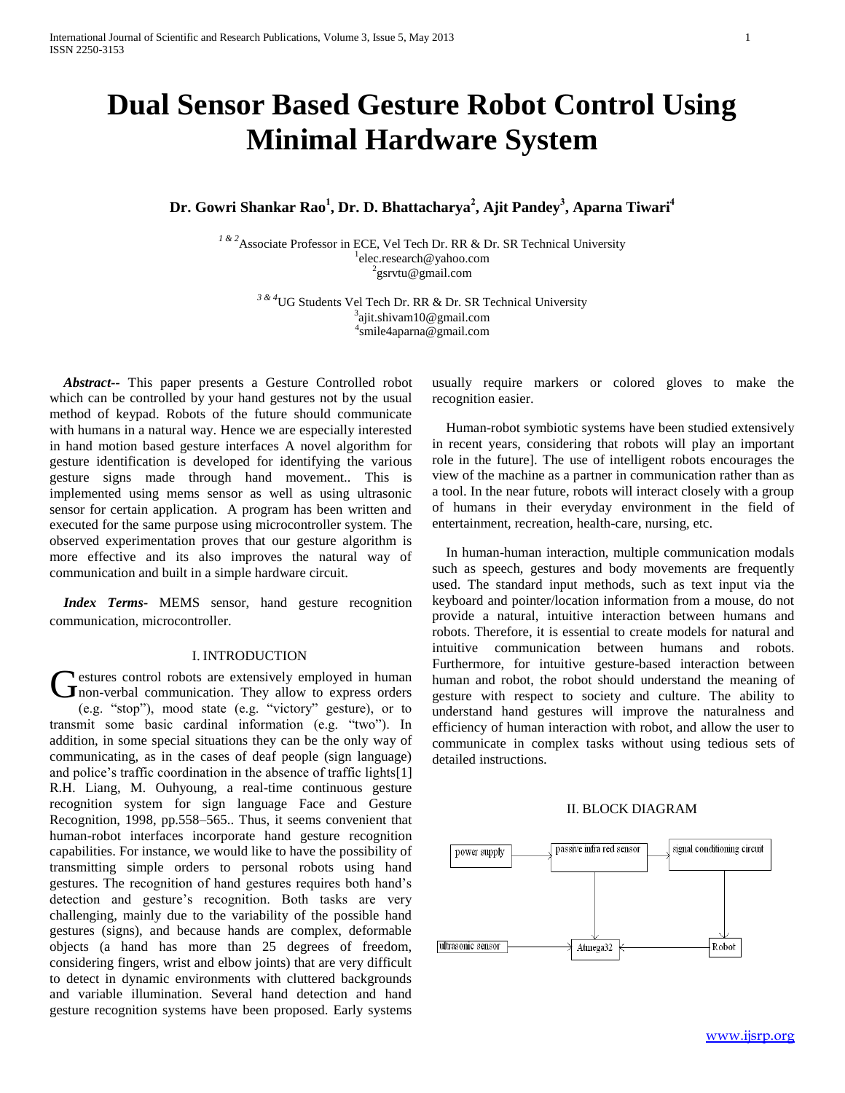# **Dual Sensor Based Gesture Robot Control Using Minimal Hardware System**

**Dr. Gowri Shankar Rao<sup>1</sup> , Dr. D. Bhattacharya<sup>2</sup> , Ajit Pandey<sup>3</sup> , Aparna Tiwari<sup>4</sup>**

*1 & 2*Associate Professor in ECE, Vel Tech Dr. RR & Dr. SR Technical University <sup>1</sup>[elec.research@yahoo.com](mailto:elec.research@yahoo.com) 2 [gsrvtu@gmail.com](mailto:gsrvtu@gmail.com)

*<sup>3</sup> & 4*UG Students Vel Tech Dr. RR & Dr. SR Technical University <sup>3</sup>[ajit.shivam10@gmail.com](mailto:ajit.shivam10@gmail.com) 4 [smile4aparna@gmail.com](mailto:4smile4aparna@gmail.com)

 *Abstract--* This paper presents a Gesture Controlled robot which can be controlled by your hand gestures not by the usual method of keypad. Robots of the future should communicate with humans in a natural way. Hence we are especially interested in hand motion based gesture interfaces A novel algorithm for gesture identification is developed for identifying the various gesture signs made through hand movement.. This is implemented using mems sensor as well as using ultrasonic sensor for certain application. A program has been written and executed for the same purpose using microcontroller system. The observed experimentation proves that our gesture algorithm is more effective and its also improves the natural way of communication and built in a simple hardware circuit.

 *Index Terms-* MEMS sensor, [hand gesture recognition](http://ieeexplore.ieee.org/search/searchresult.jsp?searchWithin=Search_Index_Terms:.QT.hand%20gesture%20recognition.QT.&newsearch=partialPref) communication, microcontroller.

#### I. INTRODUCTION

estures control robots are extensively employed in human Gestures control robots are extensively employed in human non-verbal communication. They allow to express orders (e.g. "stop"), mood state (e.g. "victory" gesture), or to transmit some basic cardinal information (e.g. "two"). In addition, in some special situations they can be the only way of communicating, as in the cases of deaf people (sign language) and police's traffic coordination in the absence of traffic lights[1] R.H. Liang, M. Ouhyoung, a real-time continuous gesture recognition system for sign language Face and Gesture Recognition, 1998, pp.558–565.. Thus, it seems convenient that human-robot interfaces incorporate hand gesture recognition capabilities. For instance, we would like to have the possibility of transmitting simple orders to personal robots using hand gestures. The recognition of hand gestures requires both hand's detection and gesture's recognition. Both tasks are very challenging, mainly due to the variability of the possible hand gestures (signs), and because hands are complex, deformable objects (a hand has more than 25 degrees of freedom, considering fingers, wrist and elbow joints) that are very difficult to detect in dynamic environments with cluttered backgrounds and variable illumination. Several hand detection and hand gesture recognition systems have been proposed. Early systems

usually require markers or colored gloves to make the recognition easier.

 Human-robot symbiotic systems have been studied extensively in recent years, considering that robots will play an important role in the future]. The use of intelligent robots encourages the view of the machine as a partner in communication rather than as a tool. In the near future, robots will interact closely with a group of humans in their everyday environment in the field of entertainment, recreation, health-care, nursing, etc.

 In human-human interaction, multiple communication modals such as speech, gestures and body movements are frequently used. The standard input methods, such as text input via the keyboard and pointer/location information from a mouse, do not provide a natural, intuitive interaction between humans and robots. Therefore, it is essential to create models for natural and intuitive communication between humans and robots. Furthermore, for intuitive gesture-based interaction between human and robot, the robot should understand the meaning of gesture with respect to society and culture. The ability to understand hand gestures will improve the naturalness and efficiency of human interaction with robot, and allow the user to communicate in complex tasks without using tedious sets of detailed instructions.

#### II. BLOCK DIAGRAM

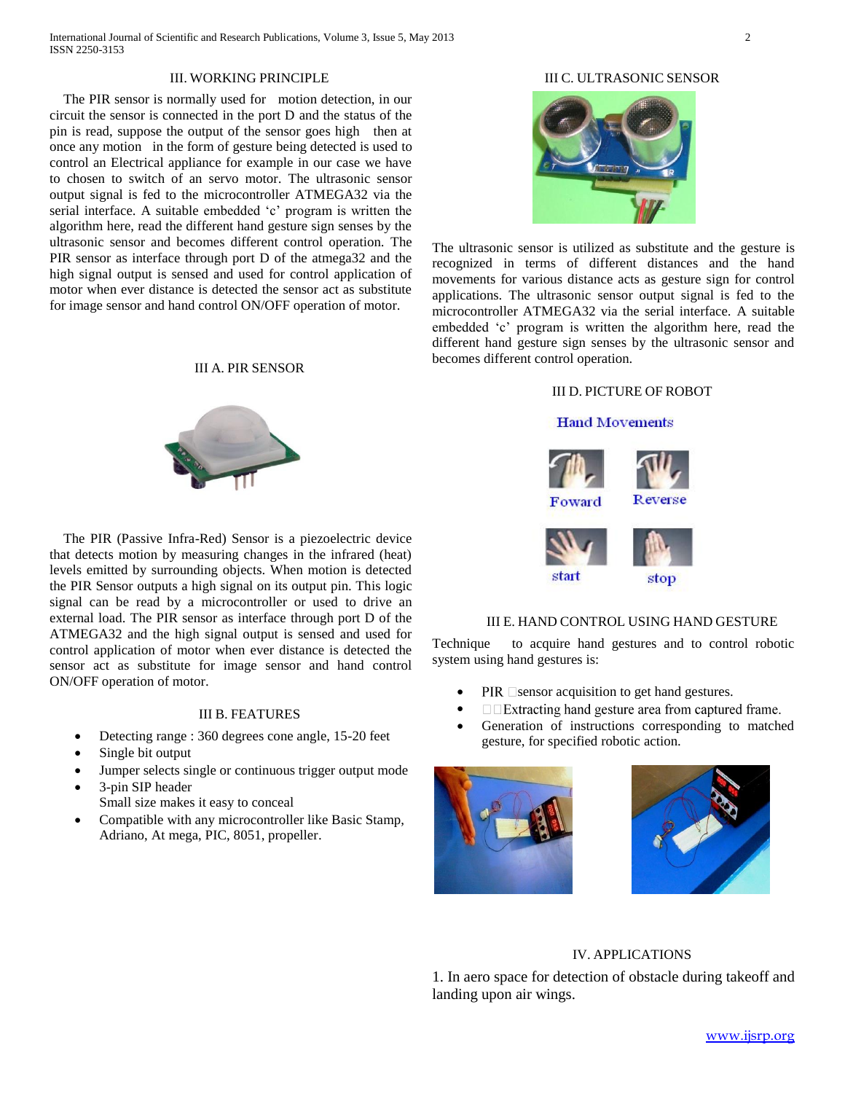### III. WORKING PRINCIPLE

 The PIR sensor is normally used for motion detection, in our circuit the sensor is connected in the port D and the status of the pin is read, suppose the output of the sensor goes high then at once any motion in the form of gesture being detected is used to control an Electrical appliance for example in our case we have to chosen to switch of an servo motor. The ultrasonic sensor output signal is fed to the microcontroller ATMEGA32 via the serial interface. A suitable embedded 'c' program is written the algorithm here, read the different hand gesture sign senses by the ultrasonic sensor and becomes different control operation. The PIR sensor as interface through port D of the atmega32 and the high signal output is sensed and used for control application of motor when ever distance is detected the sensor act as substitute for image sensor and hand control ON/OFF operation of motor.

#### III A. PIR SENSOR



 The PIR (Passive Infra-Red) Sensor is a piezoelectric device that detects motion by measuring changes in the infrared (heat) levels emitted by surrounding objects. When motion is detected the PIR Sensor outputs a high signal on its output pin. This logic signal can be read by a microcontroller or used to drive an external load. The PIR sensor as interface through port D of the ATMEGA32 and the high signal output is sensed and used for control application of motor when ever distance is detected the sensor act as substitute for image sensor and hand control ON/OFF operation of motor.

## III B. FEATURES

- Detecting range : 360 degrees cone angle, 15-20 feet
- Single bit output
- Jumper selects single or continuous trigger output mode
- 3-pin SIP header
- Small size makes it easy to conceal
- Compatible with any microcontroller like Basic Stamp, Adriano, At mega, PIC, 8051, propeller.

III C. ULTRASONIC SENSOR



The ultrasonic sensor is utilized as substitute and the gesture is recognized in terms of different distances and the hand movements for various distance acts as gesture sign for control applications. The ultrasonic sensor output signal is fed to the microcontroller ATMEGA32 via the serial interface. A suitable embedded 'c' program is written the algorithm here, read the different hand gesture sign senses by the ultrasonic sensor and becomes different control operation.

## III D. PICTURE OF ROBOT

#### **Hand Movements**



#### III E. HAND CONTROL USING HAND GESTURE

Technique to acquire hand gestures and to control robotic system using hand gestures is:

- $PIR$   $\square$  sensor acquisition to get hand gestures.
- □□Extracting hand gesture area from captured frame.  $\bullet$
- Generation of instructions corresponding to matched gesture, for specified robotic action.





## IV. APPLICATIONS

1. In aero space for detection of obstacle during takeoff and landing upon air wings.